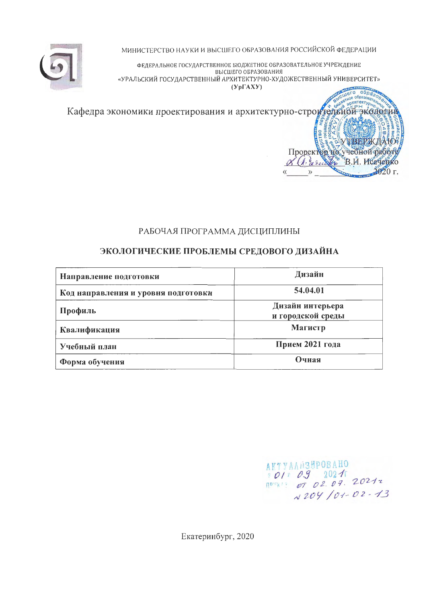

МИНИСТЕРСТВО НАУКИ И ВЫСШЕГО ОБРАЗОВАНИЯ РОССИЙСКОЙ ФЕДЕРАЦИИ

ФЕДЕРАЛЬНОЕ ГОСУДАРСТВЕННОЕ БЮДЖЕТНОЕ ОБРАЗОВАТЕЛЬНОЕ УЧРЕЖДЕНИЕ ВЫСШЕГО ОБРАЗОВАНИЯ «УРАЛЬСКИЙ ГОСУДАРСТВЕННЫЙ АРХИТЕКТУРНО-ХУДОЖЕСТВЕННЫЙ УНИВЕРСИТЕТ»  $(Yp\Gamma A X Y)$ 

SPORT BRANCH CORPORATION Кафедра экономики проектирования и архитектурно-строительной экономики проектирования и архитектурно-строитель 15<br>E ТВЕРЖДАЮ.  $\sigma$ Проректор и учебной работу & Chiaracter 2020 г.  $\rangle\rangle$ 

## РАБОЧАЯ ПРОГРАММА ДИСЦИПЛИНЫ

# ЭКОЛОГИЧЕСКИЕ ПРОБЛЕМЫ СРЕДОВОГО ДИЗАЙНА

| Направление подготовки              | Дизайн                                |
|-------------------------------------|---------------------------------------|
| Код направления и уровня подготовки | 54.04.01                              |
| Профиль                             | Дизайн интерьера<br>и городской среды |
| Квалификация                        | Магистр                               |
| Учебный план                        | Прием 2021 года                       |
| Форма обучения                      | Очная                                 |

AKTYAAN3HPOBAHO<br>*\* 01 \* 09* 2021<br><sup>10</sup> \*\*\*\* *07 02.09.* 2021 z N 204 /01-02-13

Екатеринбург, 2020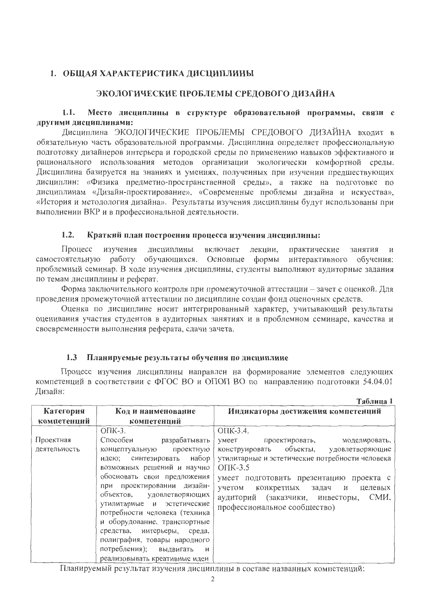### 1. ОБЩАЯ ХАРАКТЕРИСТИКА ДИСЦИПЛИНЫ

### ЭКОЛОГИЧЕСКИЕ ПРОБЛЕМЫ СРЕДОВОГО ДИЗАЙНА

### $1.1.$ Место дисциплины в структуре образовательной программы, связи с другими дисциплинами:

Дисциплина ЭКОЛОГИЧЕСКИЕ ПРОБЛЕМЫ СРЕДОВОГО ДИЗАЙНА входит в обязательную часть образовательной программы. Дисциплина определяет профессиональную подготовку дизайнеров интерьера и городской среды по применению навыков эффективного и рационального использования методов организации экологически комфортной среды. Дисциплина базируется на знаниях и умениях, полученных при изучении предшествующих дисциплин: «Физика предметно-пространственной среды», а также на подготовке по дисциплинам «Дизайн-проектирование», «Современные проблемы дизайна и искусства», «История и методология дизайна». Результаты изучения дисциплины будут использованы при выполнении ВКР и в профессиональной деятельности.

#### $1.2.$ Краткий план построения процесса изучения дисциплины:

Процесс изучения дисциплины включает лекции, практические занятия и самостоятельную работу обучающихся. Основные формы интерактивного обучения: проблемный семинар. В ходе изучения дисциплины, студенты выполняют аудиторные задания по темам дисциплины и реферат.

Форма заключительного контроля при промежуточной аттестации - зачет с оценкой. Для проведения промежуточной аттестации по дисциплине создан фонд оценочных средств.

Оценка по дисциплине носит интегрированный характер, учитывающий результаты оценивания участия студентов в аудиторных занятиях и в проблемном семинаре, качества и своевременности выполнения реферата, сдачи зачета.

#### $1.3$ Планируемые результаты обучения по дисциплине

Процесс изучения дисциплины направлен на формирование элементов следующих компетенций в соответствии с ФГОС ВО и ОПОП ВО по направлению подготовки 54.04.01 Дизайн:

Таблица 1

| Категория<br>компетенций  | Код и наименование<br>компетенций                                                                                                                                                                                                                                                                                                                                                                                                                           | Индикаторы достижения компетенций                                                                                                                                                                                                                                                                                                 |
|---------------------------|-------------------------------------------------------------------------------------------------------------------------------------------------------------------------------------------------------------------------------------------------------------------------------------------------------------------------------------------------------------------------------------------------------------------------------------------------------------|-----------------------------------------------------------------------------------------------------------------------------------------------------------------------------------------------------------------------------------------------------------------------------------------------------------------------------------|
| Проектная<br>деятельность | $O\Pi K-3$ .<br>Способен разрабатывать<br>концептуальную проектную<br>набор  <br>идею; синтезировать<br>возможных решений и научно<br>обосновать свои предложения<br>при проектировании дизайн-<br>объектов, удовлетворяющих<br>утилитарные и эстетические<br>потребности человека (техника<br>и оборудование, транспортные<br>средства, интерьеры, среда,<br>полиграфия, товары народного<br>потребления); выдвигать<br>И<br>реализовывать креативные идеи | ОПК-3.4.<br>умеет<br>проектировать, моделировать,<br>конструировать объекты, удовлетворяющие<br>утилитарные и эстетические потребности человека<br>$O\Pi K-3.5$<br>умеет подготовить презентацию проекта с<br>учетом<br>конкретных задач и<br>целевых<br>СМИ,<br>аудиторий (заказчики, инвесторы,<br>профессиональное сообщество) |

Планируемый результат изучения дисциплины в составе названных компетенций: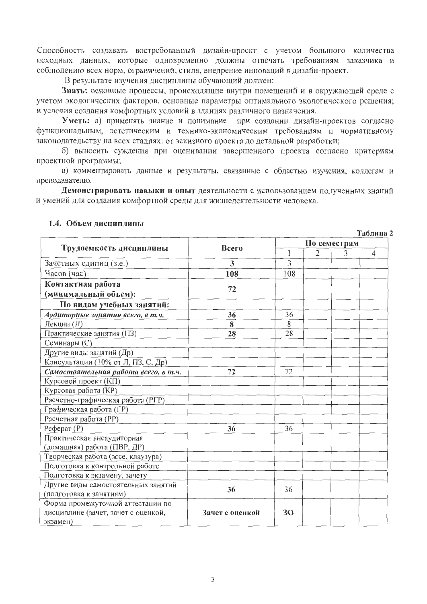Способность создавать востребованный дизайн-проект с учетом большого количества исходных данных, которые одновременно должны отвечать требованиям заказчика и соблюдению всех норм, ограничений, стиля, внедрение инноваций в дизайн-проект.

В результате изучения дисциплины обучающий должен:

Знать: основные процессы, происходящие внутри помещений и в окружающей среде с учетом экологических факторов, основные параметры оптимального экологического решения; и условия создания комфортных условий в зданиях различного назначения.

Уметь: а) применять знание и понимание при создании дизайн-проектов согласно функциональным, эстетическим и технико-экономическим требованиям и нормативному законодательству на всех стадиях: от эскизного проекта до детальной разработки;

б) выносить суждения при оценивании завершенного проекта согласно критериям проектной программы;

в) комментировать данные и результаты, связанные с областью изучения, коллегам и преподавателю.

Демонстрировать навыки и опыт деятельности с использованием полученных знаний и умений для создания комфортной среды для жизнедеятельности человека.

|                                      |                 |              |                |              | Таблица 2      |  |
|--------------------------------------|-----------------|--------------|----------------|--------------|----------------|--|
|                                      | <b>Bcero</b>    |              |                | По семестрам |                |  |
| Трудоемкость дисциплины              |                 | $\mathbf{1}$ | $\overline{2}$ | 3            | $\overline{4}$ |  |
| Зачетных единиц (з.е.)               | 3               | 3            |                |              |                |  |
| Часов (час)                          | 108             | 108          |                |              |                |  |
| Контактная работа                    |                 |              |                |              |                |  |
| (минимальный объем):                 | 72              |              |                |              |                |  |
| По видам учебных занятий:            |                 |              |                |              |                |  |
| Аудиторные занятия всего, в т.ч.     | 36              | 36           |                |              |                |  |
| Лекции $(\overline{\Pi})$            | 8               | 8            |                |              |                |  |
| Практические занятия (ПЗ)            | 28              | 28           |                |              |                |  |
| Семинары (С)                         |                 |              |                |              |                |  |
| Другие виды занятий (Др)             |                 |              |                |              |                |  |
| Консультации (10% от Л, ПЗ, С, Др)   |                 |              |                |              |                |  |
| Самостоятельная работа всего, в т.ч. | 72              | 72           |                |              |                |  |
| Курсовой проект (КП)                 |                 |              |                |              |                |  |
| Курсовая работа (КР)                 |                 |              |                |              |                |  |
| Расчетно-графическая работа (РГР)    |                 |              |                |              |                |  |
| Графическая работа (ГР)              |                 |              |                |              |                |  |
| Расчетная работа (РР)                |                 |              |                |              |                |  |
| $Pe$ ферат $(P)$                     | 36              | 36           |                |              |                |  |
| Практическая внеаудиторная           |                 |              |                |              |                |  |
| (домашняя) работа (ПВР, ДР)          |                 |              |                |              |                |  |
| Творческая работа (эссе, клаузура)   |                 |              |                |              |                |  |
| Подготовка к контрольной работе      |                 |              |                |              |                |  |
| Подготовка к экзамену, зачету        |                 |              |                |              |                |  |
| Другие виды самостоятельных занятий  | 36              | 36           |                |              |                |  |
| (подготовка к занятиям)              |                 |              |                |              |                |  |
| Форма промежуточной аттестации по    |                 |              |                |              |                |  |
| дисциплине (зачет, зачет с оценкой,  | Зачет с оценкой | 30           |                |              |                |  |
| экзамен)                             |                 |              |                |              |                |  |

### 1.4. Объем дисциплины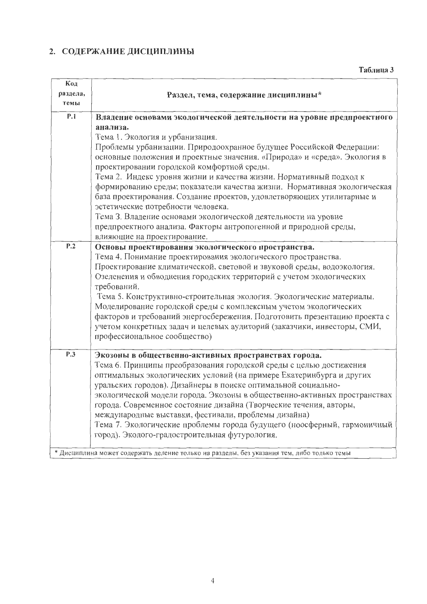## 2. СОДЕРЖАНИЕ ДИСЦИПЛИНЫ

| Код<br>раздела,<br>темы | Раздел, тема, содержание дисциплины*                                                                                                                                                          |
|-------------------------|-----------------------------------------------------------------------------------------------------------------------------------------------------------------------------------------------|
| P.1                     | Владение основами экологической деятельности на уровне предпроектного                                                                                                                         |
|                         | анализа.                                                                                                                                                                                      |
|                         | Тема 1. Экология и урбанизация.                                                                                                                                                               |
|                         | Проблемы урбанизации. Природоохранное будущее Российской Федерации:<br>основные положения и проектные значения. «Природа» и «среда». Экология в<br>проектировании городской комфортной среды. |
|                         | Тема 2. Индекс уровня жизни и качества жизни. Нормативный подход к                                                                                                                            |
|                         | формированию среды; показатели качества жизни. Нормативная экологическая                                                                                                                      |
|                         | база проектирования. Создание проектов, удовлетворяющих утилитарные и                                                                                                                         |
|                         | эстетические потребности человека.                                                                                                                                                            |
|                         | Тема З. Владение основами экологической деятельности на уровне                                                                                                                                |
|                         | предпроектного анализа. Факторы антропогенной и природной среды,                                                                                                                              |
|                         | влияющие на проектирование.                                                                                                                                                                   |
| P.2                     | Основы проектирования экологического пространства.                                                                                                                                            |
|                         | Тема 4. Понимание проектирования экологического пространства.                                                                                                                                 |
|                         | Проектирование климатической, световой и звуковой среды, водоэкология.                                                                                                                        |
|                         | Озеленения и обводнения городских территорий с учетом экологических<br>требований.                                                                                                            |
|                         | Тема 5. Конструктивно-строительная экология. Экологические материалы.                                                                                                                         |
|                         | Моделирование городской среды с комплексным учетом экологических                                                                                                                              |
|                         | факторов и требований энергосбережения. Подготовить презентацию проекта с                                                                                                                     |
|                         | учетом конкретных задач и целевых аудиторий (заказчики, инвесторы, СМИ,<br>профессиональное сообщество)                                                                                       |
| P.3                     | Экозоны в общественно-активных пространствах города.                                                                                                                                          |
|                         | Тема 6. Принципы преобразования городской среды с целью достижения                                                                                                                            |
|                         | оптимальных экологических условий (на примере Екатеринбурга и других                                                                                                                          |
|                         | уральских городов). Дизайнеры в поиске оптимальной социально-                                                                                                                                 |
|                         | экологической модели города. Экозоны в общественно-активных пространствах                                                                                                                     |
|                         | города. Современное состояние дизайна (Творческие течения, авторы,                                                                                                                            |
|                         | международные выставки, фестивали, проблемы дизайна)                                                                                                                                          |
|                         | Тема 7. Экологические проблемы города будущего (ноосферный, гармоничный                                                                                                                       |
|                         | город). Эколого-градостроительная футурология.                                                                                                                                                |
|                         | * Дисциплина может содержать деление только на разделы, без указания тем, либо только темы                                                                                                    |
|                         |                                                                                                                                                                                               |

Таблица 3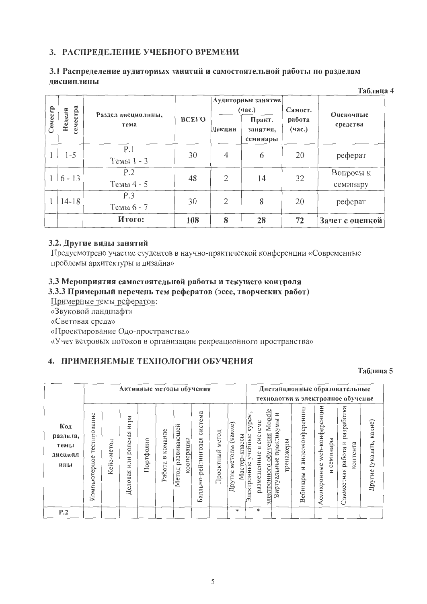### 3. РАСПРЕДЕЛЕНИЕ УЧЕБНОГО ВРЕМЕНИ

### 3.1 Распределение аудиторных занятий и самостоятельной работы по разделам дисциплины

|         | Таблица 4          |                            |       |                |                                |                  |                       |  |  |  |
|---------|--------------------|----------------------------|-------|----------------|--------------------------------|------------------|-----------------------|--|--|--|
|         |                    |                            |       |                | Аудиторные занятия<br>(4ac.)   | Самост.          | Оценочные             |  |  |  |
| Семестр | семестра<br>Неделя | Раздел дисциплины,<br>тема | ВСЕГО | Лекции         | Практ.<br>занятия,<br>семинары | работа<br>(час.) | средства              |  |  |  |
|         | $1 - 5$            | P.1<br>Темы 1 - 3          | 30    | $\overline{4}$ | 6                              | 20               | реферат               |  |  |  |
|         | $6 - 13$           | P.2<br>Темы 4 - 5          | 48    | $\overline{2}$ | 14                             | 32               | Вопросы к<br>семинару |  |  |  |
|         | $14 - 18$          | P.3<br>Темы 6 - 7          | 30    | $\overline{2}$ | 8                              | 20               | реферат               |  |  |  |
|         |                    | Итого:                     | 108   | 8              | 28                             | 72               | Зачет с оценкой       |  |  |  |

### 3.2. Другие виды занятий

Предусмотрено участие студентов в научно-практической конференции «Современные проблемы архитектуры и дизайна»

### 3.3 Мероприятия самостоятельной работы и текущего контроля 3.3.3 Примерный перечень тем рефератов (эссе, творческих работ)

Примерные темы рефератов:

«Звуковой ландшафт»

«Световая среда»

«Проектирование Одо-пространства»

«Учет ветровых потоков в организации рекреационного пространства»

## 4. ПРИМЕНЯЕМЫЕ ТЕХНОЛОГИИ ОБУЧЕНИЯ

### Таблица 5

|                                           |                                  |                |                                      |           |                                | Активные методы обучения           |                                |                    |                                                       |                                                                  |                                                                                | Дистанционные образовательные<br>технологии и электронное обучение |                                                      |                                                     |                               |
|-------------------------------------------|----------------------------------|----------------|--------------------------------------|-----------|--------------------------------|------------------------------------|--------------------------------|--------------------|-------------------------------------------------------|------------------------------------------------------------------|--------------------------------------------------------------------------------|--------------------------------------------------------------------|------------------------------------------------------|-----------------------------------------------------|-------------------------------|
| Код<br>раздела,<br>темы<br>дисципл<br>ины | ние<br>тестирова<br>Компьютерное | метод<br>Кейс- | pa<br>Щ<br>ролевая<br>или<br>Деловая | Портфолио | команде<br>$\approx$<br>Работа | развивающей<br>кооперации<br>Метод | система<br>Балльно-рейтинговая | метод<br>Проектный | $(ka$ кие $)$<br>классы<br>методы<br>Мастер<br>Другие | 그<br>курсі<br>системе<br>учебные<br>размещенные в<br>Электронные | обучения Moodle<br>И<br>практикумы<br>тренажеры<br>Виртуальные<br>электронного | видеоконференции<br>N<br>Вебинары                                  | -конференции<br>семинары<br>web-<br>Асинхронные<br>Z | разработка<br>Z<br>контента<br>работа<br>Совместная | какие)<br>(указать,<br>Другие |
| P.2                                       |                                  |                |                                      |           |                                |                                    |                                |                    | $\ast$                                                | $\ast$                                                           |                                                                                |                                                                    |                                                      |                                                     |                               |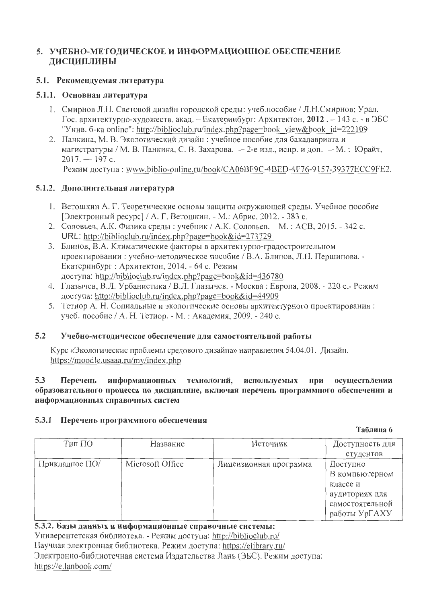## 5. УЧЕБНО-МЕТОДИЧЕСКОЕ И ИНФОРМАЦИОННОЕ ОБЕСПЕЧЕНИЕ **ДИСЦИПЛИНЫ**

### 5.1. Рекомендуемая литература

### 5.1.1. Основная литература

- 1. Смирнов Л.Н. Световой дизайн городской среды: учеб.пособие / Л.Н.Смирнов; Урал. Гос. архитектурно-художеств. акад. – Екатеринбург: Архитектон, 2012. – 143 с. - в ЭБС "Унив. б-ка online": http://biblioclub.ru/index.php?page=book view&book id=222109
- 2. Панкина, М. В. Экологический дизайн: учебное пособие для бакалавриата и магистратуры / М. В. Панкина, С. В. Захарова. — 2-е изд., испр. и доп. — М. : Юрайт,  $2017. - 197$  c. Режим доступа: www.biblio-online.ru/book/CA06BF9C-4BED-4F76-9157-39377ECC9FE2.

## 5.1.2. Дополнительная литература

- 1. Ветошкин А. Г. Теоретические основы защиты окружающей среды. Учебное пособие ГЭлектронный ресурс] / А. Г. Ветошкин. - М.: Абрис, 2012. - 383 с.
- 2. Соловьев, А.К. Физика среды: учебник / А.К. Соловьев. М.: АСВ, 2015. 342 с. URL: http://biblioclub.ru/index.php?page=book&id=273729
- 3. Блинов, В.А. Климатические факторы в архитектурно-градостроительном проектировании: учебно-методическое пособие / В.А. Блинов, Л.Н. Першинова. -Екатеринбург: Архитектон, 2014. - 64 с. Режим доступа: http://biblioclub.ru/index.php?page=book&id=436780
- 4. Глазычев, В.Л. Урбанистика / В.Л. Глазычев. Москва: Европа, 2008. 220 с. Режим доступа: http://biblioclub.ru/index.php?page=book&id=44909
- 5. Тетиор А. Н. Социальные и экологические основы архитектурного проектирования: учеб. пособие / А. Н. Тетиор. - М. : Академия, 2009. - 240 с.

#### $5.2$ Учебно-методическое обеспечение для самостоятельной работы

Курс «Экологические проблемы средового дизайна» направления 54.04.01. Дизайн. https://moodle.usaaa.ru/my/index.php

#### $5.3$ Перечень информационных технологий, используемых при осуществлении образовательного процесса по дисциплине, включая перечень программного обеспечения и информационных справочных систем

### 5.3.1 Перечень программного обеспечения

Таблица 6

| Тип ПО         | Название         | Источник               | Доступность для<br>студентов                                                                 |
|----------------|------------------|------------------------|----------------------------------------------------------------------------------------------|
| Прикладное ПО/ | Microsoft Office | Лицензионная программа | Доступно<br>В компьютерном<br>классе и<br>аудиториях для<br>самостоятельной<br>работы УрГАХУ |

5.3.2. Базы данных и информационные справочные системы: Университетская библиотека. - Режим доступа: http://biblioclub.ru/ Научная электронная библиотека. Режим доступа: https://elibrary.ru/ Электронно-библиотечная система Издательства Лань (ЭБС). Режим доступа: https://e.lanbook.com/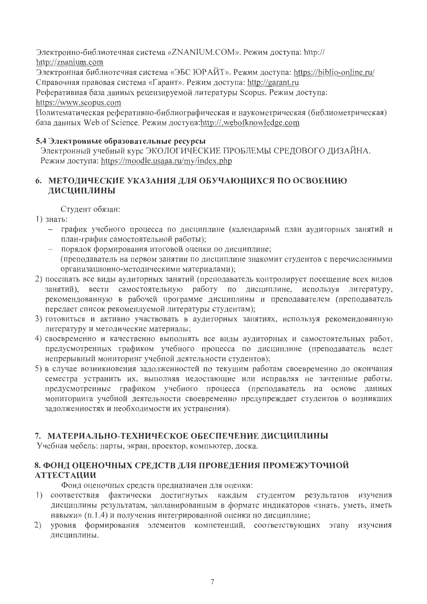Электронно-библиотечная система «ZNANIUM.COM». Режим доступа: http:// http://znanium.com

Электронная библиотечная система «ЭБС ЮРАЙТ». Режим доступа: https://biblio-online.ru/ Справочная правовая система «Гарант». Режим доступа: http://garant.ru

Реферативная база данных рецензируемой литературы Scopus. Режим доступа: https://www.scopus.com

Политематическая реферативно-библиографическая и наукометрическая (библиометрическая) база данных Web of Science. Режим доступа:http://.webofknowledge.com

### 5.4 Электронные образовательные ресурсы

Электронный учебный курс ЭКОЛОГИЧЕСКИЕ ПРОБЛЕМЫ СРЕДОВОГО ДИЗАЙНА. Режим доступа: https://moodle.usaaa.ru/my/index.php

## 6. МЕТОДИЧЕСКИЕ УКАЗАНИЯ ДЛЯ ОБУЧАЮЩИХСЯ ПО ОСВОЕНИЮ ДИСЦИПЛИНЫ

Студент обязан:

- 1) знать:
	- график учебного процесса по дисциплине (календарный план аудиторных занятий и план-график самостоятельной работы);
	- порядок формирования итоговой оценки по дисциплине; (преподаватель на первом занятии по дисциплине знакомит студентов с перечисленными организационно-методическими материалами);
- 2) посещать все виды аудиторных занятий (преподаватель контролирует посещение всех видов занятий), вести самостоятельную работу по дисциплине, используя литературу, рекомендованную в рабочей программе дисциплины и преподавателем (преподаватель передает список рекомендуемой литературы студентам);
- 3) готовиться и активно участвовать в аудиторных занятиях, используя рекомендованную литературу и методические материалы;
- 4) своевременно и качественно выполнять все виды аудиторных и самостоятельных работ, предусмотренных графиком учебного процесса по дисциплине (преподаватель ведет непрерывный мониторинг учебной деятельности студентов);
- 5) в случае возникновения задолженностей по текущим работам своевременно до окончания семестра устранить их, выполняя недостающие или исправляя не зачтенные работы, предусмотренные графиком учебного процесса (преподаватель на основе данных мониторинга учебной деятельности своевременно предупреждает студентов о возникших задолженностях и необходимости их устранения).

## 7. МАТЕРИАЛЬНО-ТЕХНИЧЕСКОЕ ОБЕСПЕЧЕНИЕ ДИСЦИПЛИНЫ

Учебная мебель: парты, экран, проектор, компьютер, доска.

## 8. ФОНД ОЦЕНОЧНЫХ СРЕДСТВ ДЛЯ ПРОВЕДЕНИЯ ПРОМЕЖУТОЧНОЙ **АТТЕСТАЦИИ**

Фонд оценочных средств предназначен для оценки:

- 1) соответствия фактически достигнутых каждым студентом результатов изучения дисциплины результатам, запланированным в формате индикаторов «знать, уметь, иметь навыки» (п.1.4) и получения интегрированной оценки по дисциплине;
- 2) уровня формирования элементов компетенций, соответствующих этапу изучения дисциплины.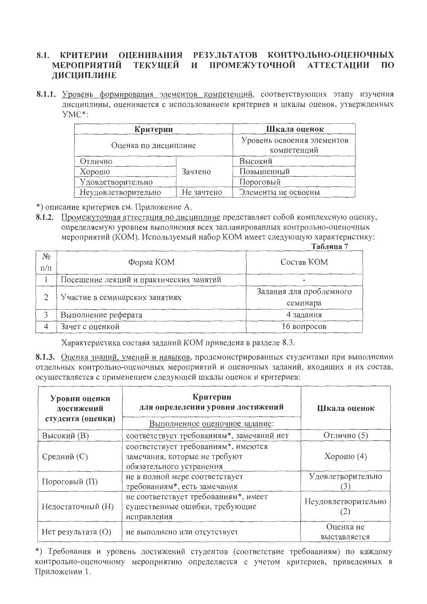#### 8.1. КРИТЕРИИ ОЦЕНИВАНИЯ РЕЗУЛЬТАТОВ КОНТРОЛЬНО-ОЦЕНОЧНЫХ ТЕКУЩЕЙ И ПРОМЕЖУТОЧНОЙ **АТТЕСТАЦИИ**  $\Pi$ <sup>O</sup> **МЕРОПРИЯТИЙ** ЛИСЦИПЛИНЕ

8.1.1. Уровень формирования элементов компетенций, соответствующих этапу изучения дисциплины, оценивается с использованием критериев и шкалы оценок, утвержденных  $YMC^*$ 

|                      | Критерии                                  |                     |  |  |  |
|----------------------|-------------------------------------------|---------------------|--|--|--|
| Оценка по дисциплине | Уровень освоения элементов<br>компетенций |                     |  |  |  |
| Отлично              |                                           | Высокий             |  |  |  |
| Хорошо               | Зачтено                                   | Повышенный          |  |  |  |
| Удовлетворительно    |                                           | Пороговый           |  |  |  |
| Неудовлетворительно  | Не зачтено                                | Элементы не освоены |  |  |  |

\*) описание критериев см. Приложение А.

8.1.2. Промежуточная аттестация по дисциплине представляет собой комплексную оценку, определяемую уровнем выполнения всех запланированных контрольно-оценочных мероприятий (КОМ). Используемый набор КОМ имеет следующую характеристику:  $T<sub>9</sub>$ nung 7

|                      |                                         | таблица /               |
|----------------------|-----------------------------------------|-------------------------|
| $N_{2}$<br>$\Pi/\Pi$ | Форма КОМ                               | Состав КОМ              |
|                      | Посещение лекций и практических занятий |                         |
| 2                    | Участие в семинарских занятиях          | Задания для проблемного |
|                      |                                         | семинара                |
| 3                    | Выполнение реферата                     | 4 задания               |
| 4                    | Зачет с оценкой                         | 16 вопросов             |

Характеристика состава заданий КОМ приведена в разделе 8.3.

8.1.3. Оценка знаний, умений и навыков, продемонстрированных студентами при выполнении отдельных контрольно-оценочных мероприятий и оценочных заданий, входящих в их состав, осуществляется с применением следующей шкалы оценок и критериев:

| Уровни оценки<br>достижений<br>студента (оценки) | Критерии<br>для определения уровня достижений<br>Выполненное оценочное задание:                  | Шкала оценок              |
|--------------------------------------------------|--------------------------------------------------------------------------------------------------|---------------------------|
| Высокий (B)                                      | соответствует требованиям*, замечаний нет                                                        | Отлично (5)               |
| Средний (С)                                      | соответствует требованиям*, имеются<br>замечания, которые не требуют<br>обязательного устранения | Хорошо $(4)$              |
| Пороговый (П)                                    | не в полной мере соответствует<br>требованиям*, есть замечания                                   | Удовлетворительно<br>3    |
| Недостаточный (Н)                                | не соответствует требованиям*, имеет<br>существенные ошибки, требующие<br>исправления            | Неудовлетворительно       |
| Нет результата (О)                               | не выполнено или отсутствует                                                                     | Оценка не<br>выставляется |

\*) Требования и уровень достижений студентов (соответствие требованиям) по каждому контрольно-оценочному мероприятию определяется с учетом критериев, приведенных в Приложении 1.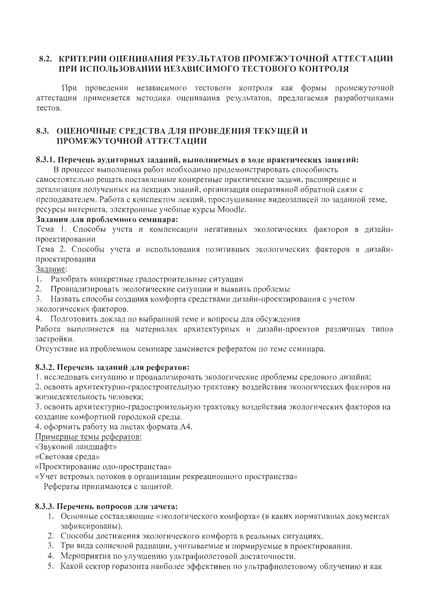## 8.2. КРИТЕРИИ ОЦЕНИВАНИЯ РЕЗУЛЬТАТОВ ПРОМЕЖУТОЧНОЙ АТТЕСТАЦИИ ПРИ ИСПОЛЬЗОВАНИИ НЕЗАВИСИМОГО ТЕСТОВОГО КОНТРОЛЯ

При проведении независимого тестового контроля как формы промежуточной аттестации применяется методика оценивания результатов, предлагаемая разработчиками тестов.

## 8.3. ОЦЕНОЧНЫЕ СРЕДСТВА ДЛЯ ПРОВЕДЕНИЯ ТЕКУЩЕЙ И ПРОМЕЖУТОЧНОЙ АТТЕСТАЦИИ

### 8.3.1. Перечень аудиторных заданий, выполняемых в ходе практических занятий:

В процессе выполнения работ необходимо продемонстрировать способность самостоятельно решать поставленные конкретные практические задачи, расширение и детализация полученных на лекциях знаний, организация оперативной обратной связи с преподавателем. Работа с конспектом лекций, прослушивание видеозаписей по заданной теме, ресурсы интернета, электронные учебные курсы Moodle.

### Задания для проблемного семинара:

Тема 1. Способы учета и компенсации негативных экологических факторов в дизайнпроектировании

Тема 2. Способы учета и использования позитивных экологических факторов в дизайнпроектировании

Задание:

- 1. Разобрать конкретные градостроительные ситуации
- 2. Проанализировать экологические ситуации и выявить проблемы

3. Назвать способы создания комфорта средствами дизайн-проектирования с учетом экологических факторов.

4. Подготовить доклад по выбранной теме и вопросы для обсуждения

Работа выполняется на материалах архитектурных и дизайн-проектов различных типов застройки.

Отсутствие на проблемном семинаре заменяется рефератом по теме семинара.

### 8.3.2. Перечень заданий для рефератов:

1. исследовать ситуацию и проанализировать экологические проблемы средового дизайна;

2. освоить архитектурно-градостроительную трактовку воздействия экологических факторов на жизнедеятельность человека;

3. освоить архитектурно-градостроительную трактовку воздействия экологических факторов на создание комфортной городской среды.

4. оформить работу на листах формата А4.

Примерные темы рефератов:

«Звуковой ландшафт»

«Световая среда»

«Проектирование одо-пространства»

«Учет ветровых потоков в организации рекреационного пространства»

Рефераты принимаются с защитой.

### 8.3.3. Перечень вопросов для зачета:

- 1. Основные составляющие «экологического комфорта» (в каких нормативных документах зафиксированы).
- 2. Способы достижения экологического комфорта в реальных ситуациях.
- 3. Три вида солнечной радиации, учитываемые и нормируемые в проектировании.
- 4. Мероприятия по улучшению ультрафиолетовой достаточности.
- 5. Какой сектор горизонта наиболее эффективен по ультрафиолетовому облучению и как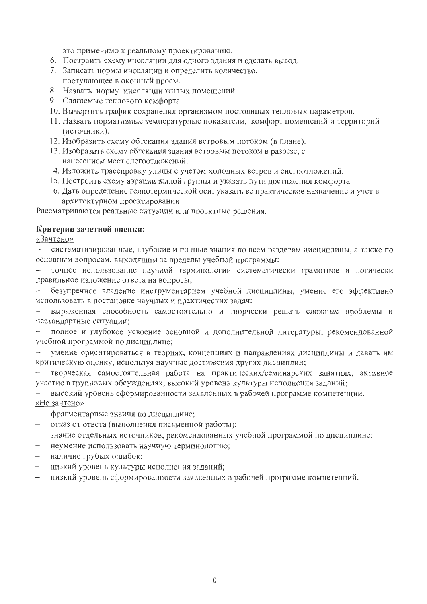это применимо к реальному проектированию.

- 6. Построить схему инсоляции для одного здания и сделать вывод.
- 7. Записать нормы инсоляции и определить количество,
- поступающее в оконный проем.
- 8. Назвать норму инсоляции жилых помещений.
- 9. Слагаемые теплового комфорта.
- 10. Вычертить график сохранения организмом постоянных тепловых параметров.
- 11. Назвать нормативные температурные показатели, комфорт помещений и территорий (источники).
- 12. Изобразить схему обтекания здания ветровым потоком (в плане).
- 13. Изобразить схему обтекания здания ветровым потоком в разрезе, с нанесением мест снегоотложений.
- 14. Изложить трассировку улицы с учетом холодных ветров и снегоотложений.
- 15. Построить схему аэрации жилой группы и указать пути достижения комфорта.
- 16. Дать определение гелиотермической оси; указать ее практическое назначение и учет в архитектурном проектировании.

Рассматриваются реальные ситуации или проектные решения.

### Критерии зачетной оценки:

«Зачтено»

систематизированные, глубокие и полные знания по всем разделам дисциплины, а также по основным вопросам, выходящим за пределы учебной программы;

точное использование научной терминологии систематически грамотное и логически правильное изложение ответа на вопросы;

безупречное владение инструментарием учебной дисциплины, умение его эффективно использовать в постановке научных и практических задач;

выраженная способность самостоятельно и творчески решать сложные проблемы и нестандартные ситуации;

полное и глубокое усвоение основной и дополнительной литературы, рекомендованной учебной программой по дисциплине;

умение ориентироваться в теориях, концепциях и направлениях дисциплины и давать им критическую оценку, используя научные достижения других дисциплин;

творческая самостоятельная работа на практических/семинарских занятиях, активное участие в групповых обсуждениях, высокий уровень культуры исполнения заданий;

высокий уровень сформированности заявленных в рабочей программе компетенций. «Не зачтено»

фрагментарные знания по дисциплине;

- отказ от ответа (выполнения письменной работы);  $\overline{\phantom{0}}$
- знание отдельных источников, рекомендованных учебной программой по дисциплине;
- неумение использовать научную терминологию;  $-$
- наличие грубых ошибок;  $\overline{\phantom{0}}$
- низкий уровень культуры исполнения заданий;
- низкий уровень сформированности заявленных в рабочей программе компетенций.  $\overline{\phantom{0}}$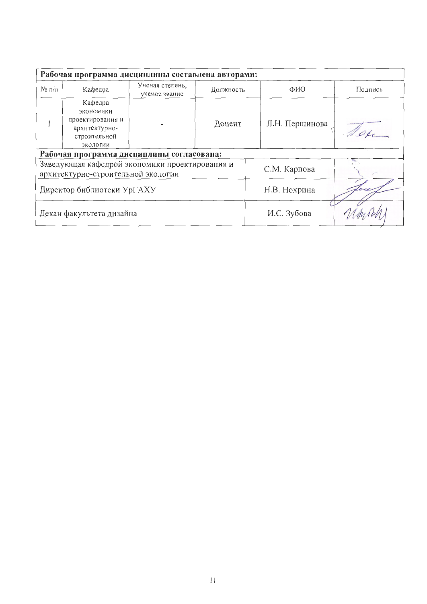| Рабочая программа дисциплины составлена авторами:                                                    |                                                                                       |                                  |           |                |         |  |  |
|------------------------------------------------------------------------------------------------------|---------------------------------------------------------------------------------------|----------------------------------|-----------|----------------|---------|--|--|
| $N_2$ п/п                                                                                            | Кафедра                                                                               | Ученая степень,<br>ученое звание | Должность | ФИО            | Подпись |  |  |
|                                                                                                      | Кафедра<br>экономики<br>проектирования и<br>архитектурно-<br>строительной<br>экологии |                                  | Доцент    | Л.Н. Першинова |         |  |  |
|                                                                                                      | Рабочая программа дисциплины согласована:                                             |                                  |           |                |         |  |  |
| Заведующая кафедрой экономики проектирования и<br>С.М. Карпова<br>архитектурно-строительной экологии |                                                                                       |                                  |           |                |         |  |  |
|                                                                                                      | Директор библиотеки УрГАХУ                                                            |                                  |           | Н.В. Нохрина   |         |  |  |
|                                                                                                      | Декан факультета дизайна                                                              |                                  |           | И.С. Зубова    |         |  |  |